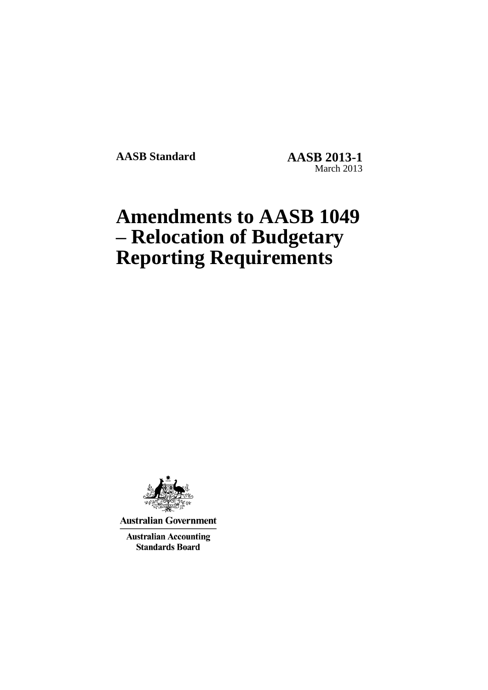**AASB Standard AASB 2013-1** March 2013

# **Amendments to AASB 1049 – Relocation of Budgetary Reporting Requirements**



**Australian Government** 

**Australian Accounting Standards Board**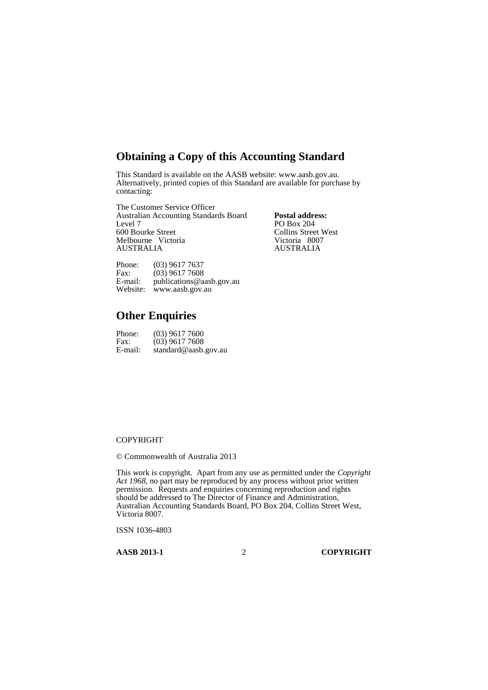## **Obtaining a Copy of this Accounting Standard**

This Standard is available on the AASB website: www.aasb.gov.au. Alternatively, printed copies of this Standard are available for purchase by contacting:

The Customer Service Officer Australian Accounting Standards Board Level 7 600 Bourke Street Melbourne Victoria AUSTRALIA

**Postal address:** PO Box 204 Collins Street West Victoria 8007 AUSTRALIA

Phone: (03) 9617 7637<br>Fax: (03) 9617 7608  $(03)$  9617 7608 E-mail: publications@aasb.gov.au Website: www.aasb.gov.au

## **Other Enquiries**

| Phone:  | $(03)$ 9617 7600     |
|---------|----------------------|
| Fax:    | $(03)$ 9617 7608     |
| E-mail: | standard@aasb.gov.au |

#### COPYRIGHT

© Commonwealth of Australia 2013

This work is copyright. Apart from any use as permitted under the *Copyright Act 1968*, no part may be reproduced by any process without prior written permission. Requests and enquiries concerning reproduction and rights should be addressed to The Director of Finance and Administration, Australian Accounting Standards Board, PO Box 204, Collins Street West, Victoria 8007.

ISSN 1036-4803

**AASB 2013-1** 2 **COPYRIGHT**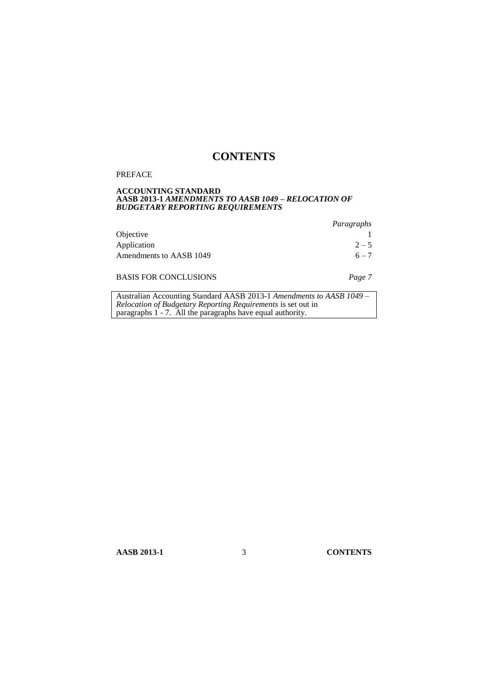# **CONTENTS**

### PREFACE

#### **ACCOUNTING STANDARD AASB 2013-1** *AMENDMENTS TO AASB 1049 – RELOCATION OF BUDGETARY REPORTING REQUIREMENTS*

|                                                                      | Paragraphs |
|----------------------------------------------------------------------|------------|
| Objective                                                            |            |
| Application                                                          | $2 - 5$    |
| Amendments to AASB 1049                                              | $6 - 7$    |
| <b>BASIS FOR CONCLUSIONS</b>                                         | Page 7     |
| Australian Accounting Standard AASB 2013-1 Amendments to AASB 1049 – |            |

*Relocation of Budgetary Reporting Requirements* is set out in paragraphs [1](#page-4-0) - [7.](#page-5-1) All the paragraphs have equal authority.

**AASB 2013-1** 3 **CONTENTS**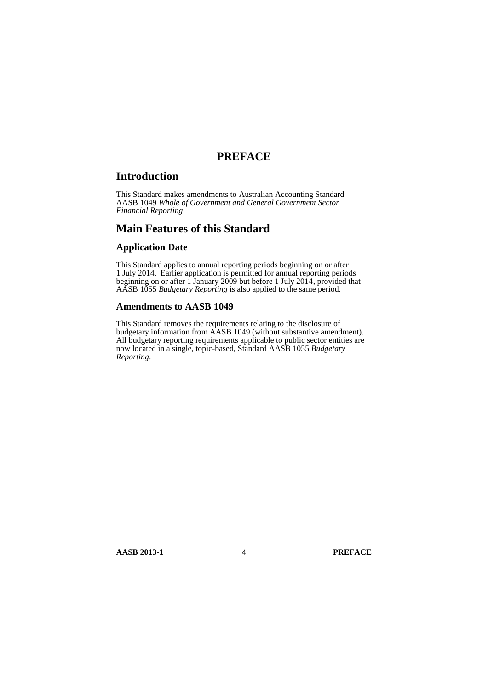## **PREFACE**

## **Introduction**

This Standard makes amendments to Australian Accounting Standard AASB 1049 *Whole of Government and General Government Sector Financial Reporting*.

## **Main Features of this Standard**

## **Application Date**

This Standard applies to annual reporting periods beginning on or after 1 July 2014. Earlier application is permitted for annual reporting periods beginning on or after 1 January 2009 but before 1 July 2014, provided that AASB 1055 *Budgetary Reporting* is also applied to the same period.

## **Amendments to AASB 1049**

This Standard removes the requirements relating to the disclosure of budgetary information from AASB 1049 (without substantive amendment). All budgetary reporting requirements applicable to public sector entities are now located in a single, topic-based, Standard AASB 1055 *Budgetary Reporting*.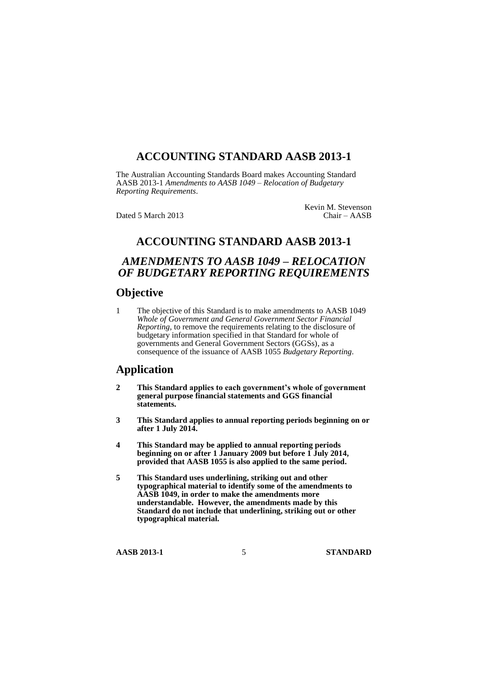# **ACCOUNTING STANDARD AASB 2013-1**

The Australian Accounting Standards Board makes Accounting Standard AASB 2013-1 *Amendments to AASB 1049 – Relocation of Budgetary Reporting Requirements*.

Dated 5 March 2013

Kevin M. Stevenson<br>Chair – AASB

# **ACCOUNTING STANDARD AASB 2013-1**

## *AMENDMENTS TO AASB 1049 – RELOCATION OF BUDGETARY REPORTING REQUIREMENTS*

## **Objective**

<span id="page-4-0"></span>1 The objective of this Standard is to make amendments to AASB 1049 *Whole of Government and General Government Sector Financial Reporting*, to remove the requirements relating to the disclosure of budgetary information specified in that Standard for whole of governments and General Government Sectors (GGSs), as a consequence of the issuance of AASB 1055 *Budgetary Reporting*.

## **Application**

- <span id="page-4-1"></span>**2 This Standard applies to each government's whole of government general purpose financial statements and GGS financial statements.**
- **3 This Standard applies to annual reporting periods beginning on or after 1 July 2014.**
- **4 This Standard may be applied to annual reporting periods beginning on or after 1 January 2009 but before 1 July 2014, provided that AASB 1055 is also applied to the same period.**
- <span id="page-4-2"></span>**5 This Standard uses underlining, striking out and other typographical material to identify some of the amendments to AASB 1049, in order to make the amendments more understandable. However, the amendments made by this Standard do not include that underlining, striking out or other typographical material.**

**AASB 2013-1** 5 **STANDARD**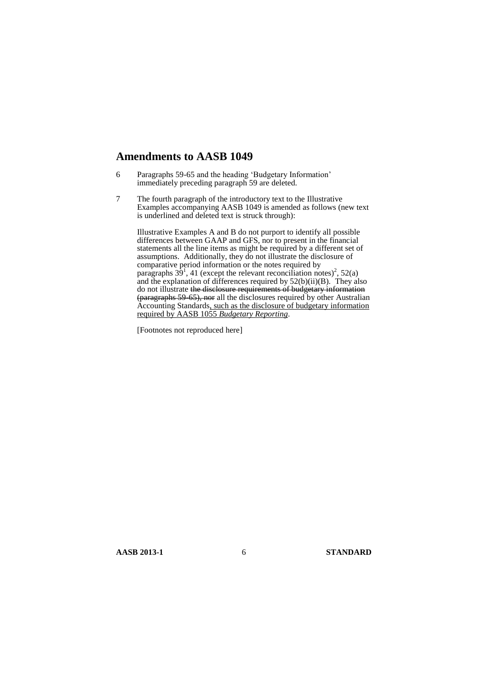## **Amendments to AASB 1049**

- <span id="page-5-0"></span>6 Paragraphs 59-65 and the heading 'Budgetary Information' immediately preceding paragraph 59 are deleted.
- <span id="page-5-1"></span>7 The fourth paragraph of the introductory text to the Illustrative Examples accompanying AASB 1049 is amended as follows (new text is underlined and deleted text is struck through):

Illustrative Examples A and B do not purport to identify all possible differences between GAAP and GFS, nor to present in the financial statements all the line items as might be required by a different set of assumptions. Additionally, they do not illustrate the disclosure of comparative period information or the notes required by paragraphs  $3\overline{9}^1$ , 41 (except the relevant reconciliation notes)<sup>2</sup>, 52(a) and the explanation of differences required by  $52(b)(ii)(B)$ . They also do not illustrate the disclosure requirements of budgetary information (paragraphs 59-65), nor all the disclosures required by other Australian Accounting Standards, such as the disclosure of budgetary information required by AASB 1055 *Budgetary Reporting*.

[Footnotes not reproduced here]

**AASB 2013-1** 6 **STANDARD**